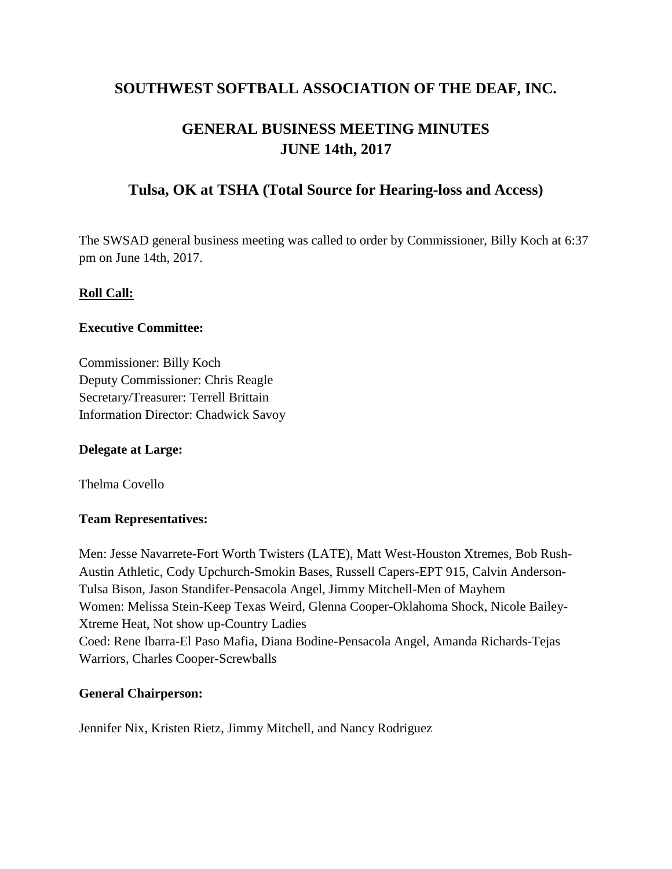# **SOUTHWEST SOFTBALL ASSOCIATION OF THE DEAF, INC.**

# **GENERAL BUSINESS MEETING MINUTES JUNE 14th, 2017**

# **Tulsa, OK at TSHA (Total Source for Hearing-loss and Access)**

The SWSAD general business meeting was called to order by Commissioner, Billy Koch at 6:37 pm on June 14th, 2017.

# **Roll Call:**

### **Executive Committee:**

Commissioner: Billy Koch Deputy Commissioner: Chris Reagle Secretary/Treasurer: Terrell Brittain Information Director: Chadwick Savoy

# **Delegate at Large:**

Thelma Covello

# **Team Representatives:**

Men: Jesse Navarrete-Fort Worth Twisters (LATE), Matt West-Houston Xtremes, Bob Rush-Austin Athletic, Cody Upchurch-Smokin Bases, Russell Capers-EPT 915, Calvin Anderson-Tulsa Bison, Jason Standifer-Pensacola Angel, Jimmy Mitchell-Men of Mayhem Women: Melissa Stein-Keep Texas Weird, Glenna Cooper-Oklahoma Shock, Nicole Bailey-Xtreme Heat, Not show up-Country Ladies Coed: Rene Ibarra-El Paso Mafia, Diana Bodine-Pensacola Angel, Amanda Richards-Tejas Warriors, Charles Cooper-Screwballs

# **General Chairperson:**

Jennifer Nix, Kristen Rietz, Jimmy Mitchell, and Nancy Rodriguez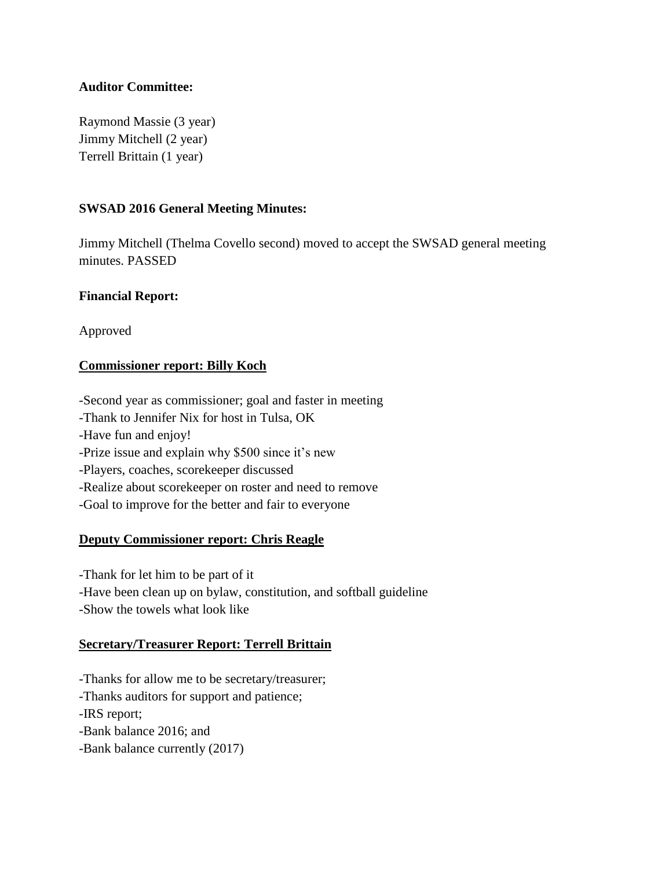### **Auditor Committee:**

Raymond Massie (3 year) Jimmy Mitchell (2 year) Terrell Brittain (1 year)

### **SWSAD 2016 General Meeting Minutes:**

Jimmy Mitchell (Thelma Covello second) moved to accept the SWSAD general meeting minutes. PASSED

### **Financial Report:**

Approved

### **Commissioner report: Billy Koch**

-Second year as commissioner; goal and faster in meeting -Thank to Jennifer Nix for host in Tulsa, OK -Have fun and enjoy! -Prize issue and explain why \$500 since it's new -Players, coaches, scorekeeper discussed -Realize about scorekeeper on roster and need to remove -Goal to improve for the better and fair to everyone

### **Deputy Commissioner report: Chris Reagle**

-Thank for let him to be part of it -Have been clean up on bylaw, constitution, and softball guideline -Show the towels what look like

#### **Secretary/Treasurer Report: Terrell Brittain**

-Thanks for allow me to be secretary/treasurer;

-Thanks auditors for support and patience;

-IRS report;

-Bank balance 2016; and

-Bank balance currently (2017)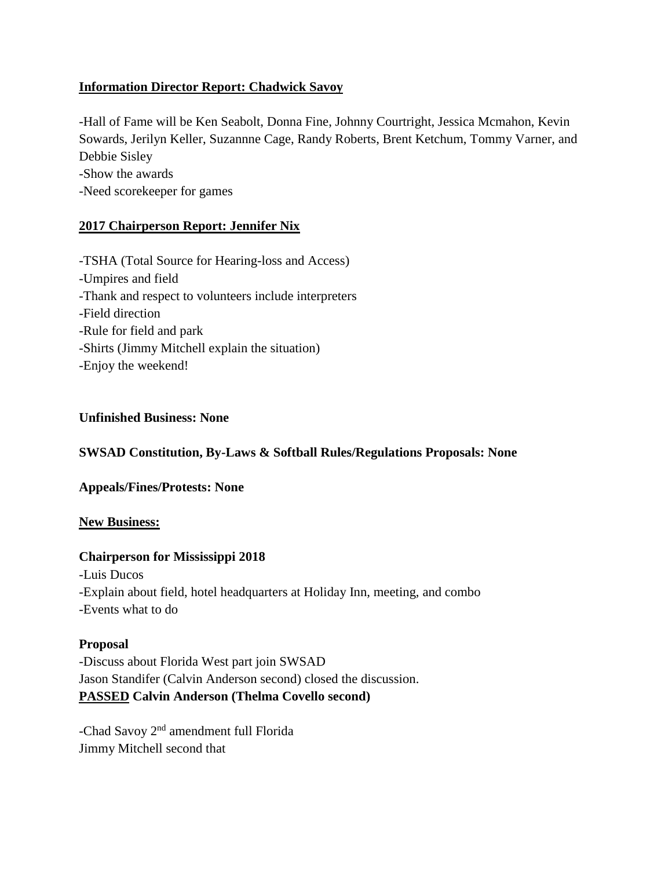# **Information Director Report: Chadwick Savoy**

-Hall of Fame will be Ken Seabolt, Donna Fine, Johnny Courtright, Jessica Mcmahon, Kevin Sowards, Jerilyn Keller, Suzannne Cage, Randy Roberts, Brent Ketchum, Tommy Varner, and Debbie Sisley -Show the awards -Need scorekeeper for games

# **2017 Chairperson Report: Jennifer Nix**

-TSHA (Total Source for Hearing-loss and Access) -Umpires and field -Thank and respect to volunteers include interpreters -Field direction -Rule for field and park -Shirts (Jimmy Mitchell explain the situation) -Enjoy the weekend!

### **Unfinished Business: None**

# **SWSAD Constitution, By-Laws & Softball Rules/Regulations Proposals: None**

# **Appeals/Fines/Protests: None**

# **New Business:**

# **Chairperson for Mississippi 2018**

-Luis Ducos -Explain about field, hotel headquarters at Holiday Inn, meeting, and combo -Events what to do

### **Proposal**

-Discuss about Florida West part join SWSAD Jason Standifer (Calvin Anderson second) closed the discussion. **PASSED Calvin Anderson (Thelma Covello second)**

-Chad Savoy 2nd amendment full Florida Jimmy Mitchell second that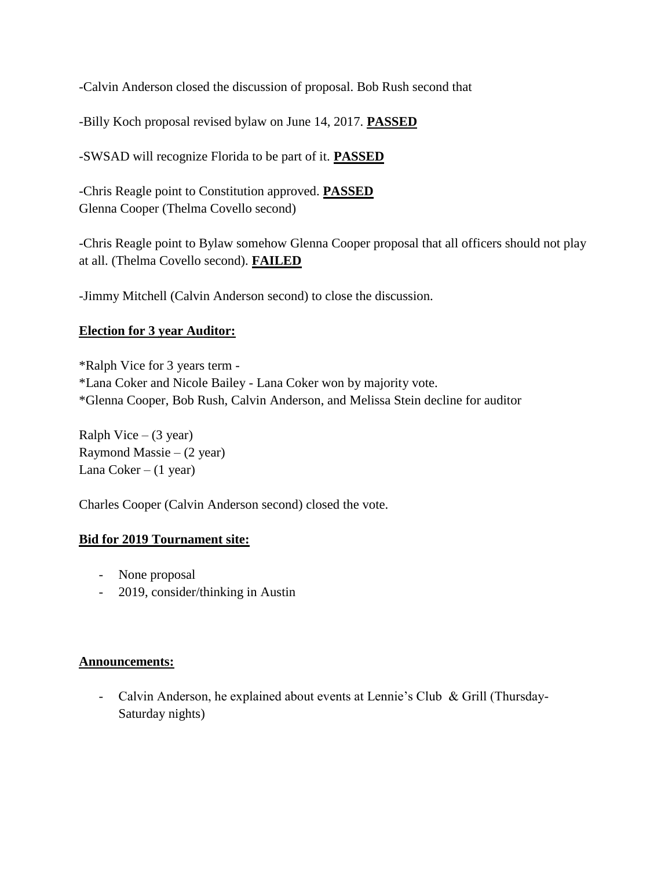-Calvin Anderson closed the discussion of proposal. Bob Rush second that

-Billy Koch proposal revised bylaw on June 14, 2017. **PASSED**

-SWSAD will recognize Florida to be part of it. **PASSED**

-Chris Reagle point to Constitution approved. **PASSED** Glenna Cooper (Thelma Covello second)

-Chris Reagle point to Bylaw somehow Glenna Cooper proposal that all officers should not play at all. (Thelma Covello second). **FAILED**

-Jimmy Mitchell (Calvin Anderson second) to close the discussion.

# **Election for 3 year Auditor:**

\*Ralph Vice for 3 years term - \*Lana Coker and Nicole Bailey - Lana Coker won by majority vote. \*Glenna Cooper, Bob Rush, Calvin Anderson, and Melissa Stein decline for auditor

Ralph Vice  $-$  (3 year) Raymond Massie –  $(2 \text{ year})$ Lana  $Coker - (1 \text{ year})$ 

Charles Cooper (Calvin Anderson second) closed the vote.

# **Bid for 2019 Tournament site:**

- None proposal
- 2019, consider/thinking in Austin

### **Announcements:**

- Calvin Anderson, he explained about events at Lennie's Club & Grill (Thursday-Saturday nights)